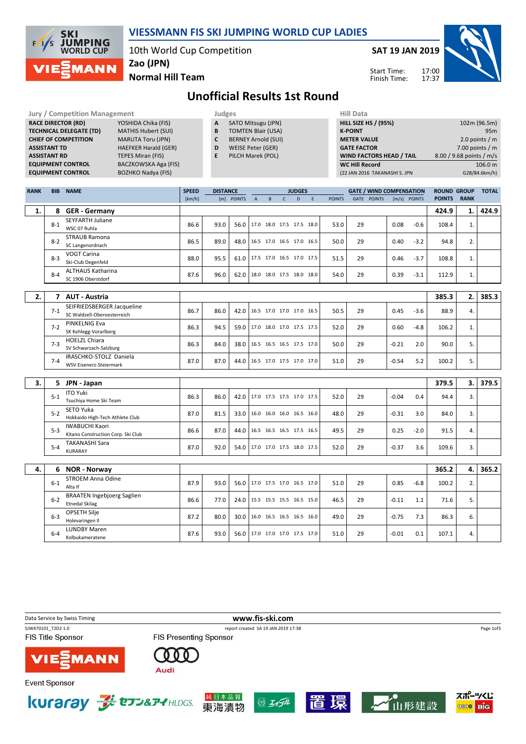

## VIESSMANN FIS SKI JUMPING WORLD CUP LADIES

10th World Cup Competition

SAT 19 JAN 2019

Start Time: Finish Time:



Normal Hill Team Zao (JPN)

## Unofficial Results 1st Round

|             |                     | <b>Jury / Competition Management</b>                                                   | Judges                                                            |                 |                   |                          |                                      |                             |                          | <b>Hill Data</b> |               |                                 |         |              |                 |                                     |               |  |
|-------------|---------------------|----------------------------------------------------------------------------------------|-------------------------------------------------------------------|-----------------|-------------------|--------------------------|--------------------------------------|-----------------------------|--------------------------|------------------|---------------|---------------------------------|---------|--------------|-----------------|-------------------------------------|---------------|--|
|             |                     | <b>RACE DIRECTOR (RD)</b><br>YOSHIDA Chika (FIS)                                       | A<br>SATO Mitsugu (JPN)                                           |                 |                   |                          |                                      | <b>HILL SIZE HS / (95%)</b> |                          |                  |               |                                 |         |              | 102m (96.5m)    |                                     |               |  |
|             |                     | <b>TECHNICAL DELEGATE (TD)</b><br><b>MATHIS Hubert (SUI)</b>                           | B<br><b>TOMTEN Blair (USA)</b><br>C<br><b>BERNEY Arnold (SUI)</b> |                 |                   |                          | <b>K-POINT</b><br><b>METER VALUE</b> |                             |                          |                  |               |                                 |         | 95m          |                 |                                     |               |  |
|             | <b>ASSISTANT TD</b> | <b>CHIEF OF COMPETITION</b><br><b>MARUTA Toru (JPN)</b><br><b>HAEFKER Harald (GER)</b> |                                                                   | D               | WEISE Peter (GER) |                          |                                      |                             |                          |                  |               | <b>GATE FACTOR</b>              |         |              |                 | 2.0 points $/m$                     |               |  |
|             | <b>ASSISTANT RD</b> | <b>TEPES Miran (FIS)</b>                                                               |                                                                   | E               | PILCH Marek (POL) |                          |                                      |                             |                          |                  |               | WIND FACTORS HEAD / TAIL        |         |              |                 | 7.00 points $/m$                    |               |  |
|             |                     | <b>EQUIPMENT CONTROL</b><br>BACZKOWSKA Aga (FIS)                                       |                                                                   |                 |                   |                          |                                      |                             |                          |                  |               | <b>WC Hill Record</b>           |         |              |                 | 8.00 / 9.68 points / m/s<br>106.0 m |               |  |
|             |                     | <b>BOZHKO Nadya (FIS)</b><br><b>EQUIPMENT CONTROL</b>                                  |                                                                   |                 |                   |                          |                                      |                             |                          |                  |               | (22 JAN 2016 TAKANASHI S. JPN   |         |              |                 |                                     | G28/84.6km/h) |  |
|             |                     |                                                                                        |                                                                   |                 |                   |                          |                                      |                             |                          |                  |               |                                 |         |              |                 |                                     |               |  |
| <b>RANK</b> |                     | <b>BIB NAME</b>                                                                        | <b>SPEED</b>                                                      | <b>DISTANCE</b> |                   |                          |                                      |                             | <b>JUDGES</b>            |                  |               | <b>GATE / WIND COMPENSATION</b> |         |              |                 | <b>ROUND GROUP</b>                  | <b>TOTAL</b>  |  |
|             |                     |                                                                                        | [km/h]                                                            |                 | [m] POINTS        | A                        | $\, {\bf B} \,$                      | $\mathsf{C}$                | D                        | $\mathsf E$      | <b>POINTS</b> | GATE POINTS                     |         | [m/s] POINTS | <b>POINTS</b>   | <b>RANK</b>                         |               |  |
| 1.          |                     | 8 GER - Germany                                                                        |                                                                   |                 |                   |                          |                                      |                             |                          |                  |               |                                 |         |              | 424.9           | 1.                                  | 424.9         |  |
|             |                     | <b>SEYFARTH Juliane</b>                                                                |                                                                   |                 |                   | 17.0 18.0 17.5 17.5 18.0 |                                      |                             |                          |                  |               | 29                              |         |              |                 |                                     |               |  |
|             | $8 - 1$             | WSC 07 Ruhla                                                                           | 86.6                                                              | 93.0            | 56.0              |                          |                                      |                             |                          |                  | 53.0          |                                 | 0.08    |              | $-0.6$<br>108.4 | 1.                                  |               |  |
|             | $8 - 2$             | <b>STRAUB Ramona</b>                                                                   | 86.5                                                              | 89.0            | 48.0              | 16.5 17.0 16.5 17.0 16.5 |                                      |                             |                          |                  | 50.0          | 29                              | 0.40    |              | $-3.2$<br>94.8  | 2.                                  |               |  |
|             |                     | SC Langenordnach                                                                       |                                                                   |                 |                   |                          |                                      |                             |                          |                  |               |                                 |         |              |                 |                                     |               |  |
|             | $8 - 3$             | <b>VOGT Carina</b><br>Ski-Club Degenfeld                                               | 88.0                                                              | 95.5            | 61.0              | 17.5 17.0 16.5 17.0 17.5 |                                      |                             |                          |                  | 51.5          | 29                              | 0.46    |              | $-3.7$<br>108.8 | 1.                                  |               |  |
|             |                     | <b>ALTHAUS Katharina</b>                                                               |                                                                   |                 |                   |                          |                                      |                             |                          |                  |               |                                 |         |              |                 |                                     |               |  |
|             | $8 - 4$             | SC 1906 Oberstdorf                                                                     | 87.6                                                              | 96.0            | 62.0              | 18.0 18.0 17.5 18.0 18.0 |                                      |                             |                          |                  | 54.0          | 29                              | 0.39    |              | $-3.1$<br>112.9 | 1.                                  |               |  |
|             |                     |                                                                                        |                                                                   |                 |                   |                          |                                      |                             |                          |                  |               |                                 |         |              |                 |                                     |               |  |
| 2.          |                     | 7 AUT - Austria                                                                        |                                                                   |                 |                   |                          |                                      |                             |                          |                  |               |                                 |         |              | 385.3           | 2.                                  | 385.3         |  |
|             | $7-1$               | SEIFRIEDSBERGER Jacqueline                                                             | 86.7                                                              | 86.0            | 42.0              |                          |                                      |                             | 16.5 17.0 17.0 17.0 16.5 |                  | 50.5          | 29                              | 0.45    |              | 88.9<br>$-3.6$  | 4.                                  |               |  |
|             |                     | SC Waldzell-Oberoesterreich                                                            |                                                                   |                 |                   |                          |                                      |                             |                          |                  |               |                                 |         |              |                 |                                     |               |  |
|             | $7 - 2$             | PINKELNIG Eva                                                                          | 86.3                                                              | 94.5            | 59.0              | 17.0 18.0 17.0 17.5 17.5 |                                      |                             |                          |                  | 52.0          | 29                              | 0.60    |              | $-4.8$<br>106.2 | 1.                                  |               |  |
|             |                     | SK Kehlegg-Vorarlberg<br><b>HOELZL Chiara</b>                                          |                                                                   |                 |                   |                          |                                      |                             |                          |                  |               |                                 |         |              |                 |                                     |               |  |
|             | $7 - 3$             | SV Schwarzach-Salzburg                                                                 | 86.3                                                              | 84.0            | 38.0              | 16.5 16.5 16.5 17.5 17.0 |                                      |                             |                          |                  | 50.0          | 29                              | $-0.21$ |              | 2.0<br>90.0     | 5.                                  |               |  |
|             |                     | IRASCHKO-STOLZ Daniela                                                                 |                                                                   |                 |                   |                          |                                      |                             |                          |                  |               |                                 |         |              |                 |                                     |               |  |
|             | $7 - 4$             | WSV Eisenerz-Steiermark                                                                | 87.0                                                              | 87.0            | 44.0              | 16.5 17.0 17.5 17.0 17.0 |                                      |                             |                          |                  | 51.0          | 29                              | $-0.54$ |              | 5.2<br>100.2    | 5.                                  |               |  |
|             |                     |                                                                                        |                                                                   |                 |                   |                          |                                      |                             |                          |                  |               |                                 |         |              |                 |                                     |               |  |
| 3.          |                     | 5 JPN - Japan                                                                          |                                                                   |                 |                   |                          |                                      |                             |                          |                  |               |                                 |         |              | 379.5           | 3.                                  | 379.5         |  |
|             | $5 - 1$             | <b>ITO Yuki</b><br>Tsuchiya Home Ski Team                                              | 86.3                                                              | 86.0            | 42.0              | 17.0 17.5 17.5 17.0 17.5 |                                      |                             |                          |                  | 52.0          | 29                              | $-0.04$ |              | 0.4<br>94.4     | 3.                                  |               |  |
|             |                     | SETO Yuka                                                                              |                                                                   |                 |                   |                          |                                      |                             |                          |                  |               |                                 |         |              |                 |                                     |               |  |
|             | $5-2$               | Hokkaido High-Tech Athlete Club                                                        | 87.0                                                              | 81.5            | 33.0              |                          |                                      |                             | 16.0 16.0 16.0 16.5 16.0 |                  | 48.0          | 29                              | $-0.31$ |              | 3.0<br>84.0     | 3.                                  |               |  |
|             | $5 - 3$             | <b>IWABUCHI Kaori</b>                                                                  | 86.6                                                              | 87.0            | 44.0              |                          |                                      |                             | 16.5 16.5 16.5 17.5 16.5 |                  | 49.5          | 29                              | 0.25    |              | $-2.0$<br>91.5  | 4.                                  |               |  |
|             |                     | Kitano Construction Corp. Ski Club                                                     |                                                                   |                 |                   |                          |                                      |                             |                          |                  |               |                                 |         |              |                 |                                     |               |  |
|             | $5 - 4$             | <b>TAKANASHI Sara</b>                                                                  | 87.0                                                              | 92.0            | 54.0              | 17.0 17.0 17.5 18.0 17.5 |                                      |                             |                          |                  | 52.0          | 29                              | $-0.37$ |              | 3.6<br>109.6    | 3.                                  |               |  |
|             |                     | <b>KURARAY</b>                                                                         |                                                                   |                 |                   |                          |                                      |                             |                          |                  |               |                                 |         |              |                 |                                     |               |  |
| 4.          | 6                   | <b>NOR - Norway</b>                                                                    |                                                                   |                 |                   |                          |                                      |                             |                          |                  |               |                                 |         |              | 365.2           | 4.                                  | 365.2         |  |
|             |                     | <b>STROEM Anna Odine</b>                                                               |                                                                   |                 |                   |                          |                                      |                             |                          |                  |               |                                 |         |              |                 |                                     |               |  |
|             | $6 - 1$             | Alta If                                                                                | 87.9                                                              | 93.0            | 56.0              | 17.0 17.5 17.0 16.5 17.0 |                                      |                             |                          |                  | 51.0          | 29                              | 0.85    |              | $-6.8$<br>100.2 | 2.                                  |               |  |
|             |                     | <b>BRAATEN Ingebjoerg Saglien</b>                                                      |                                                                   |                 |                   | 15.5 15.5 15.5 16.5 15.0 |                                      |                             |                          |                  |               |                                 |         |              |                 |                                     |               |  |
|             | $6 - 2$             | <b>Etnedal Skilag</b>                                                                  | 86.6                                                              | 77.0            | 24.0              |                          |                                      |                             |                          |                  | 46.5          | 29                              | $-0.11$ |              | 1.1<br>71.6     | 5.                                  |               |  |
|             | $6-3$               | OPSETH Silje                                                                           | 87.2                                                              | 80.0            | 30.0              | 16.0 16.5 16.5 16.5 16.0 |                                      |                             |                          |                  | 49.0          | 29                              | $-0.75$ |              | 7.3<br>86.3     | 6.                                  |               |  |
|             |                     | Holevaringen II                                                                        |                                                                   |                 |                   |                          |                                      |                             |                          |                  |               |                                 |         |              |                 |                                     |               |  |
|             | $6 - 4$             | <b>LUNDBY Maren</b><br>Kolbukameratene                                                 | 87.6                                                              | 93.0            | 56.0              | 17.0 17.0 17.0 17.5 17.0 |                                      |                             |                          |                  | 51.0          | 29                              | $-0.01$ |              | 0.1<br>107.1    | 4.                                  |               |  |
|             |                     |                                                                                        |                                                                   |                 |                   |                          |                                      |                             |                          |                  |               |                                 |         |              |                 |                                     |               |  |

Data Service by Swiss Timing **WWW.fis-ski.com** SJW470101\_72D2 1.0 report created SA 19 JAN 2019 17:38 Page 1of3 FIS Title Sponsor **FIS Presenting Sponsor** . O O **MANN** Audi **Event Sponsor** スポーツくじ Kuraray **Je to D&P4 HLDGS.** 本品質  $\circledcirc$   $I/f$ 境 。<br>山形建設 直 東海漬物 **OOOO** BIG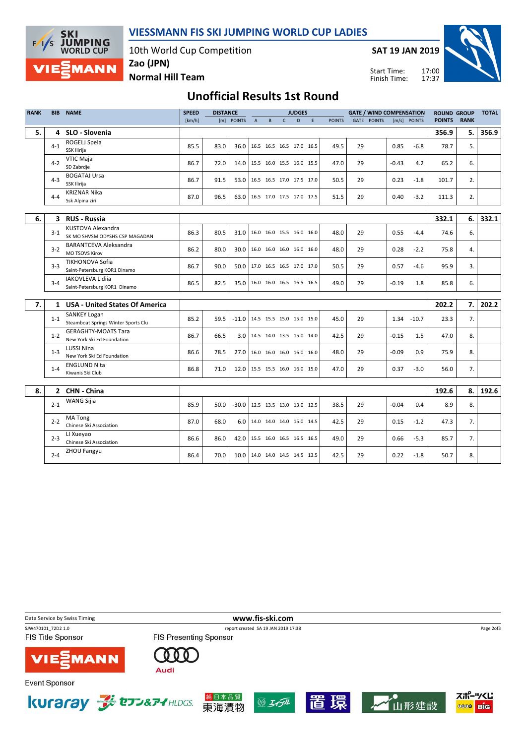VIESSMANN FIS SKI JUMPING WORLD CUP LADIES

10th World Cup Competition



Normal Hill Team

Zao (JPN)

Start Time: Finish Time:

## Unofficial Results 1st Round

| <b>RANK</b> | <b>BIB</b>   | <b>NAME</b>                                                | <b>SPEED</b> | <b>DISTANCE</b> |                                 |                                 |                          |              | <b>JUDGES</b> |   |               |    | <b>GATE / WIND COMPENSATION</b> |         |               | <b>ROUND GROUP</b> |             | <b>TOTAL</b> |
|-------------|--------------|------------------------------------------------------------|--------------|-----------------|---------------------------------|---------------------------------|--------------------------|--------------|---------------|---|---------------|----|---------------------------------|---------|---------------|--------------------|-------------|--------------|
|             |              |                                                            | [km/h]       |                 | [m] POINTS                      | $\overline{A}$                  | B                        | $\mathsf{C}$ | D             | F | <b>POINTS</b> |    | <b>GATE POINTS</b>              |         | [m/s] POINTS  | <b>POINTS</b>      | <b>RANK</b> |              |
| 5.          | 4            | SLO - Slovenia                                             |              |                 |                                 |                                 |                          |              |               |   |               |    |                                 |         |               | 356.9              | 5. I        | 356.9        |
|             | $4 - 1$      | ROGELJ Spela<br>SSK Ilirija                                | 85.5         | 83.0            | 36.0                            |                                 | 16.5 16.5 16.5 17.0 16.5 |              |               |   | 49.5          | 29 |                                 | 0.85    | $-6.8$        | 78.7               | 5.          |              |
|             | $4 - 2$      | <b>VTIC Maja</b><br>SD Zabrdje                             | 86.7         | 72.0            | 14.0                            |                                 | 15.5 16.0 15.5 16.0 15.5 |              |               |   | 47.0          | 29 |                                 | $-0.43$ | 4.2           | 65.2               | 6.          |              |
|             | $4 - 3$      | <b>BOGATAJ Ursa</b><br>SSK Ilirija                         | 86.7         | 91.5            |                                 | 53.0 16.5 16.5 17.0 17.5 17.0   |                          |              |               |   | 50.5          | 29 |                                 | 0.23    | $-1.8$        | 101.7              | 2.          |              |
|             | $4 - 4$      | <b>KRIZNAR Nika</b><br>Ssk Alpina ziri                     | 87.0         | 96.5            |                                 | 63.0 16.5 17.0 17.5 17.0 17.5   |                          |              |               |   | 51.5          | 29 |                                 | 0.40    | $-3.2$        | 111.3              | 2.          |              |
|             |              |                                                            |              |                 |                                 |                                 |                          |              |               |   |               |    |                                 |         |               |                    |             |              |
| 6.          |              | 3 RUS - Russia                                             |              |                 |                                 |                                 |                          |              |               |   |               |    |                                 |         |               | 332.1              | 6.          | 332.1        |
|             | $3 - 1$      | <b>KUSTOVA Alexandra</b><br>SK MO SHVSM ODYSHS CSP MAGADAN | 86.3         | 80.5            | 31.0                            |                                 | 16.0 16.0 15.5 16.0 16.0 |              |               |   | 48.0          | 29 |                                 | 0.55    | $-4.4$        | 74.6               | 6.          |              |
|             | $3-2$        | <b>BARANTCEVA Aleksandra</b><br><b>MO TSOVS Kirov</b>      | 86.2         | 80.0            | 30.0                            |                                 | 16.0 16.0 16.0 16.0 16.0 |              |               |   | 48.0          | 29 |                                 | 0.28    | $-2.2$        | 75.8               | 4.          |              |
|             | $3 - 3$      | <b>TIKHONOVA Sofia</b><br>Saint-Petersburg KOR1 Dinamo     | 86.7         | 90.0            | 50.0                            |                                 | 17.0 16.5 16.5 17.0 17.0 |              |               |   | 50.5          | 29 |                                 | 0.57    | $-4.6$        | 95.9               | 3.          |              |
|             | $3 - 4$      | <b>IAKOVLEVA Lidija</b><br>Saint-Petersburg KOR1 Dinamo    | 86.5         | 82.5            |                                 | 35.0   16.0 16.0 16.5 16.5 16.5 |                          |              |               |   | 49.0          | 29 |                                 | $-0.19$ | 1.8           | 85.8               | 6.          |              |
|             |              |                                                            |              |                 |                                 |                                 |                          |              |               |   |               |    |                                 |         |               |                    |             |              |
| 7.          | $\mathbf{1}$ | <b>USA - United States Of America</b>                      |              |                 |                                 |                                 |                          |              |               |   |               |    |                                 |         |               | 202.2              | 7.1         | 202.2        |
|             | $1 - 1$      | <b>SANKEY Logan</b><br>Steamboat Springs Winter Sports Clu | 85.2         | 59.5            | -11.0                           |                                 | 14.5 15.5 15.0 15.0 15.0 |              |               |   | 45.0          | 29 |                                 |         | $1.34 - 10.7$ | 23.3               | 7.          |              |
|             | $1 - 2$      | <b>GERAGHTY-MOATS Tara</b><br>New York Ski Ed Foundation   | 86.7         | 66.5            | 3.0                             |                                 | 14.5 14.0 13.5 15.0 14.0 |              |               |   | 42.5          | 29 |                                 | $-0.15$ | 1.5           | 47.0               | 8.          |              |
|             | $1 - 3$      | <b>LUSSI Nina</b><br>New York Ski Ed Foundation            | 86.6         | 78.5            | 27.0                            |                                 | 16.0 16.0 16.0 16.0 16.0 |              |               |   | 48.0          | 29 |                                 | $-0.09$ | 0.9           | 75.9               | 8.          |              |
|             | $1 - 4$      | <b>ENGLUND Nita</b><br>Kiwanis Ski Club                    | 86.8         | 71.0            | 12.0   15.5 15.5 16.0 16.0 15.0 |                                 |                          |              |               |   | 47.0          | 29 |                                 | 0.37    | $-3.0$        | 56.0               | 7.          |              |
|             |              |                                                            |              |                 |                                 |                                 |                          |              |               |   |               |    |                                 |         |               |                    |             |              |
| 8.          |              | 2 CHN - China                                              |              |                 |                                 |                                 |                          |              |               |   |               |    |                                 |         |               | 192.6              | 8.          | 192.6        |
|             | $2 - 1$      | WANG Sijia                                                 | 85.9         | 50.0            | $-30.0$                         |                                 | 12.5 13.5 13.0 13.0 12.5 |              |               |   | 38.5          | 29 |                                 | $-0.04$ | 0.4           | 8.9                | 8.          |              |
|             | $2 - 2$      | <b>MATong</b><br>Chinese Ski Association                   | 87.0         | 68.0            | 6.01                            |                                 | 14.0 14.0 14.0 15.0 14.5 |              |               |   | 42.5          | 29 |                                 | 0.15    | $-1.2$        | 47.3               | 7.          |              |
|             | $2 - 3$      | LI Xueyao<br>Chinese Ski Association                       | 86.6         | 86.0            | 42.0                            |                                 | 15.5 16.0 16.5 16.5 16.5 |              |               |   | 49.0          | 29 |                                 | 0.66    | $-5.3$        | 85.7               | 7.          |              |
|             | $2 - 4$      | ZHOU Fangyu                                                | 86.4         | 70.0            | 10.0   14.0 14.0 14.5 14.5 13.5 |                                 |                          |              |               |   | 42.5          | 29 |                                 | 0.22    | $-1.8$        | 50.7               | 8.          |              |

Data Service by Swiss Timing **WWW.fis-ski.com** SJW470101\_72D2 1.0 report created SA 19 JAN 2019 17:38 Page 2of3FIS Title Sponsor FIS Presenting Sponsor 000 **MANN** Audi スポーツくじ Kuraray **Je to D&P4 HLDGS.** 純日本品質  $\circledS$   $H$ 境 山形建設 東海漬物 **OOOO** BIG



**SKI** 

 $F/1/S$ 

**JUMPING**<br>WORLD CUP

**MANN** 



**Event Sponsor**